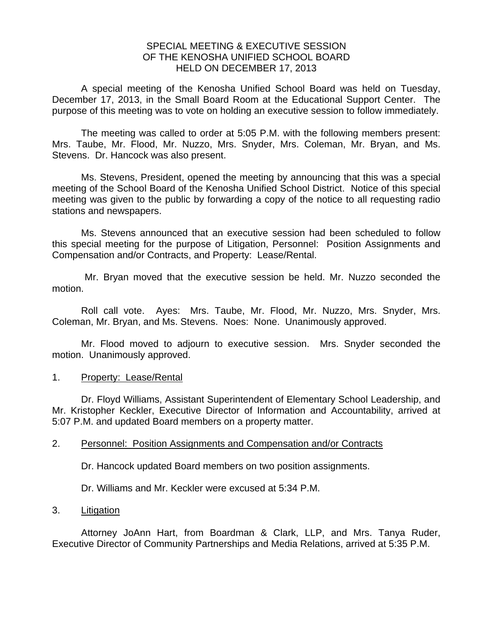## SPECIAL MEETING & EXECUTIVE SESSION OF THE KENOSHA UNIFIED SCHOOL BOARD HELD ON DECEMBER 17, 2013

A special meeting of the Kenosha Unified School Board was held on Tuesday, December 17, 2013, in the Small Board Room at the Educational Support Center. The purpose of this meeting was to vote on holding an executive session to follow immediately.

 The meeting was called to order at 5:05 P.M. with the following members present: Mrs. Taube, Mr. Flood, Mr. Nuzzo, Mrs. Snyder, Mrs. Coleman, Mr. Bryan, and Ms. Stevens. Dr. Hancock was also present.

 Ms. Stevens, President, opened the meeting by announcing that this was a special meeting of the School Board of the Kenosha Unified School District. Notice of this special meeting was given to the public by forwarding a copy of the notice to all requesting radio stations and newspapers.

 Ms. Stevens announced that an executive session had been scheduled to follow this special meeting for the purpose of Litigation, Personnel: Position Assignments and Compensation and/or Contracts, and Property: Lease/Rental.

 Mr. Bryan moved that the executive session be held. Mr. Nuzzo seconded the motion.

 Roll call vote. Ayes: Mrs. Taube, Mr. Flood, Mr. Nuzzo, Mrs. Snyder, Mrs. Coleman, Mr. Bryan, and Ms. Stevens. Noes: None. Unanimously approved.

 Mr. Flood moved to adjourn to executive session. Mrs. Snyder seconded the motion. Unanimously approved.

#### 1. Property: Lease/Rental

 Dr. Floyd Williams, Assistant Superintendent of Elementary School Leadership, and Mr. Kristopher Keckler, Executive Director of Information and Accountability, arrived at 5:07 P.M. and updated Board members on a property matter.

#### 2. Personnel: Position Assignments and Compensation and/or Contracts

Dr. Hancock updated Board members on two position assignments.

Dr. Williams and Mr. Keckler were excused at 5:34 P.M.

## 3. Litigation

 Attorney JoAnn Hart, from Boardman & Clark, LLP, and Mrs. Tanya Ruder, Executive Director of Community Partnerships and Media Relations, arrived at 5:35 P.M.